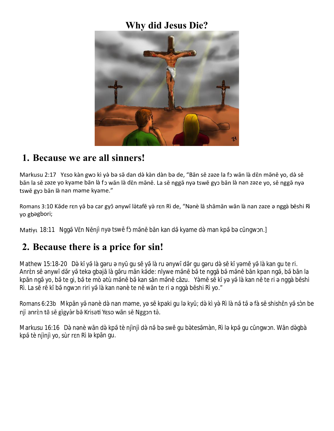# **Why did Jesus Die?**



#### **1. Because we are all sinners!**

Markusu 2:17 Yeso kàn gwɔ kì yə̀ bə sə̄ dan də̀ kàn dàn bə de, "Bān sē zəze la fɔ wān là dɛ̄n mə̄nē yo, də̀ sē bān la sē zəze yo kyame bān là fɔ wān là dɛ̄n mə̄nē. La sē nggə̄ nyə tswē gyɔ bān là nan zəze yo, sē nggə̄ nyə tswē gyɔ bān là nan məme kyame."

Romans 3:10 Kāde rɛn yā bə car gyō ənywī làtafē yà rɛn Rì de, "Nənè lā shāmān wān là nan zəze ə nggà bēshi Rì yo gbəgbori;

Matiyu 18:11 Ngg V n N njì ny tsw f m n b n kan d kyame d man kp b c ngw n.]

#### **2. Because there is a price for sin!**

Mathew 15:18-20 D k y là g ru ny gu s y là ru nyw d r gu g ru d s k y m y là kan gu te ri. Anrns nywidry tek gbj $a$ grumnk de: nlywe mn bite nggibmn binkpan ng, bibn la kpīn ng yo, bite gi, bite mò tù mīn bikan sīn mīn c zu. Yims kī yi yi là kan nite ri nggà bī shi Rì. La s r k b ngw n riri y là kan n nè te n w n te ri nggà b shi Rì yo."

Romans 6:23b Mkpīn yən nè də̀ nan məme, yə sə kpaki gu lə ky; də̀ kì yə Rì là nətə fà sə shish nəyəsin be njì anrèn tā sē gìgyàr bā Krisati Yeso wān sē Nggon tà.

Markusu 16:16 D n nè w nd kp tè njìnjì d n b sw gu b tes màn, Rì l kp gu c ngw n. W nd gbà kp tè njìnjì yo, sùr r n Rì l kp n gu.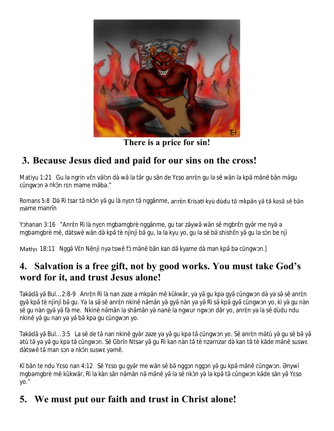

**There is a price for sin!**

# **3. Because Jesus died and paid for our sins on the cross!**

Matiyu 1:21 Gul ngrin v n v l n d w l t r gu s n de Y so anr n gul s w n l kp m n b n m qu c ngw n nk nr n m me m b ."

Romans 5:8 D Rì tsar t nk n y qu là ny n t ngg nme, anrèn Krisati kyù dùdu tā mkpān yā tā kasā sē bān mme m nr n

Y hanan 3:16 "Anr n Rì là ny n mgb mgbrè ngg nme, gu t r z yw w n s mgbr n gy r me ny mgb mgbrè m, d tsw w nd kp tè njìnjì b gu, la kyu yo, gu l s b shish n y gu l s n be njì

Matiyu 18:11 Ngg V n N njì ny tswf m n b n kan d kyame deman kpbc ngw n.]

#### **4. Salvation is a free gift, not by good works. You must take God's word for it, and trust Jesus alone!**

Tak d y Bul… 2:8-9 Anr n Rì là nan zze mkpīn me kikwīr, yo gu kpayor ngwndyssanr n gy kp tè njìnjì b gu. Y la s s anr n nkin n m n y gy nàn y y Rì s kp gy c ngw n yo, kì y gu nàn s gu nàn gy y fà me. Nkin n m n la shīm n y n nè l ngwur ngw n d r yo, anr n y la s dùdu ndu nkin y gu nan yə yəb kpə gu cngw n yo.

Tak d y Bul… 3:5 La s de than nkin gyrz ze y y gu kpt c ngw n yo. Sanr n m tù y gu sby tù t y y qu kpt c ngw n. S Gbrn Ntsry gu Rì kan nàn t tènz rnz r d kan t tèk dem n susw d tsw t mansn nkn suswym.

K bī n te ndu Y so nan 4:12 S Y so gu gyīr me wīn sī bī ngg n ngg n yī gu kpēmīnē cīngw n. Enywī mgb mgbrè m k kw r, Rì la kàn s n n m n n m n y l s nk n y l kpt c ngw n k de s n y Y so yo."

# **5. We must put our faith and trust in Christ alone!**